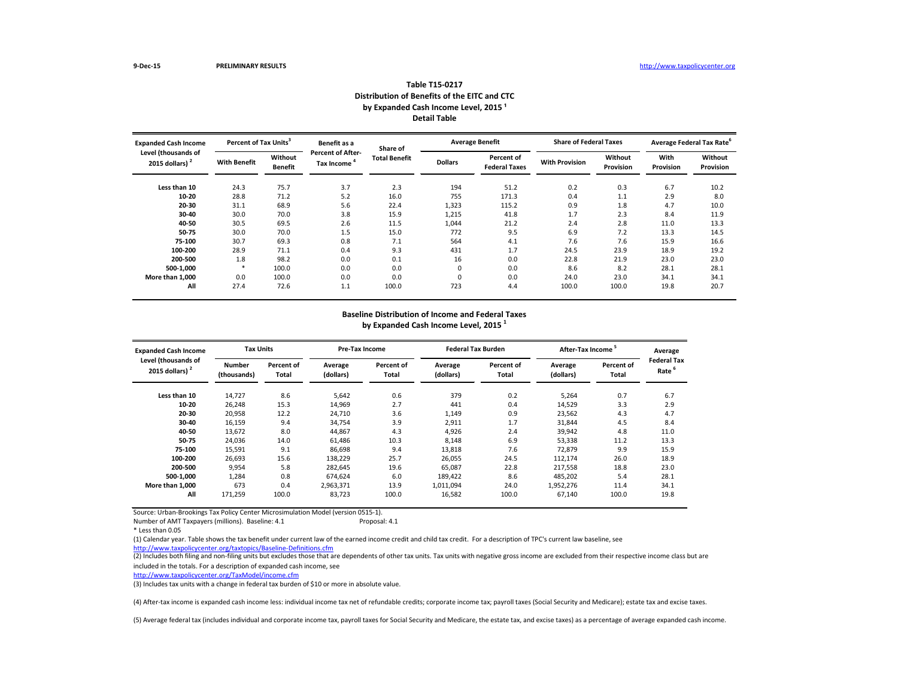| <b>Expanded Cash Income</b><br>Level (thousands of |                     | Percent of Tax Units <sup>3</sup> |                                        | Share of             |                | <b>Average Benefit</b>             | <b>Share of Federal Taxes</b> |                      | Average Federal Tax Rate <sup>6</sup> |                             |
|----------------------------------------------------|---------------------|-----------------------------------|----------------------------------------|----------------------|----------------|------------------------------------|-------------------------------|----------------------|---------------------------------------|-----------------------------|
| 2015 dollars) $2$                                  | <b>With Benefit</b> | Without<br><b>Benefit</b>         | <b>Percent of After-</b><br>Tax Income | <b>Total Benefit</b> | <b>Dollars</b> | Percent of<br><b>Federal Taxes</b> | <b>With Provision</b>         | Without<br>Provision | With<br>Provision                     | <b>Without</b><br>Provision |
| Less than 10                                       | 24.3                | 75.7                              | 3.7                                    | 2.3                  | 194            | 51.2                               | 0.2                           | 0.3                  | 6.7                                   | 10.2                        |
| 10-20                                              | 28.8                | 71.2                              | 5.2                                    | 16.0                 | 755            | 171.3                              | 0.4                           | 1.1                  | 2.9                                   | 8.0                         |
| $20 - 30$                                          | 31.1                | 68.9                              | 5.6                                    | 22.4                 | 1,323          | 115.2                              | 0.9                           | 1.8                  | 4.7                                   | 10.0                        |
| $30 - 40$                                          | 30.0                | 70.0                              | 3.8                                    | 15.9                 | 1,215          | 41.8                               | 1.7                           | 2.3                  | 8.4                                   | 11.9                        |
| 40-50                                              | 30.5                | 69.5                              | 2.6                                    | 11.5                 | 1,044          | 21.2                               | 2.4                           | 2.8                  | 11.0                                  | 13.3                        |
| 50-75                                              | 30.0                | 70.0                              | 1.5                                    | 15.0                 | 772            | 9.5                                | 6.9                           | 7.2                  | 13.3                                  | 14.5                        |
| 75-100                                             | 30.7                | 69.3                              | 0.8                                    | 7.1                  | 564            | 4.1                                | 7.6                           | 7.6                  | 15.9                                  | 16.6                        |
| 100-200                                            | 28.9                | 71.1                              | 0.4                                    | 9.3                  | 431            | 1.7                                | 24.5                          | 23.9                 | 18.9                                  | 19.2                        |
| 200-500                                            | 1.8                 | 98.2                              | 0.0                                    | 0.1                  | 16             | 0.0                                | 22.8                          | 21.9                 | 23.0                                  | 23.0                        |
| 500-1,000                                          |                     | 100.0                             | 0.0                                    | 0.0                  | 0              | 0.0                                | 8.6                           | 8.2                  | 28.1                                  | 28.1                        |
| More than 1,000                                    | 0.0                 | 100.0                             | 0.0                                    | 0.0                  | 0              | 0.0                                | 24.0                          | 23.0                 | 34.1                                  | 34.1                        |
| All                                                | 27.4                | 72.6                              | 1.1                                    | 100.0                | 723            | 4.4                                | 100.0                         | 100.0                | 19.8                                  | 20.7                        |

Number of AMT Taxpayers (millions). Baseline: 4.1

(2) Includes both filing and non-filing units but excludes those that are dependents of other tax units. Tax units with negative gross income are excluded from their respective income class but are included in the totals. For a description of expanded cash income, see

#### **Table T15-0217 Distribution of Benefits of the EITC and CTC** by Expanded Cash Income Level, 2015<sup>1</sup> **Detail Table**

| <b>Expanded Cash Income</b>              | <b>Tax Units</b>             |                                   | <b>Pre-Tax Income</b> |                            |                      | <b>Federal Tax Burden</b>  | <b>After-Tax Income</b> |                     | Average                                 |
|------------------------------------------|------------------------------|-----------------------------------|-----------------------|----------------------------|----------------------|----------------------------|-------------------------|---------------------|-----------------------------------------|
| Level (thousands of<br>2015 dollars) $2$ | <b>Number</b><br>(thousands) | <b>Percent of</b><br><b>Total</b> | Average<br>(dollars)  | <b>Percent of</b><br>Total | Average<br>(dollars) | Percent of<br><b>Total</b> | Average<br>(dollars)    | Percent of<br>Total | <b>Federal Tax</b><br>Rate <sup>6</sup> |
| Less than 10                             | 14,727                       | 8.6                               | 5,642                 | 0.6                        | 379                  | 0.2                        | 5,264                   | 0.7                 | 6.7                                     |
| $10 - 20$                                | 26,248                       | 15.3                              | 14,969                | 2.7                        | 441                  | 0.4                        | 14,529                  | 3.3                 | 2.9                                     |
| $20 - 30$                                | 20,958                       | 12.2                              | 24,710                | 3.6                        | 1,149                | 0.9                        | 23,562                  | 4.3                 | 4.7                                     |
| $30 - 40$                                | 16,159                       | 9.4                               | 34,754                | 3.9                        | 2,911                | 1.7                        | 31,844                  | 4.5                 | 8.4                                     |
| 40-50                                    | 13,672                       | 8.0                               | 44,867                | 4.3                        | 4,926                | 2.4                        | 39,942                  | 4.8                 | 11.0                                    |
| 50-75                                    | 24,036                       | 14.0                              | 61,486                | 10.3                       | 8,148                | 6.9                        | 53,338                  | 11.2                | 13.3                                    |
| 75-100                                   | 15,591                       | 9.1                               | 86,698                | 9.4                        | 13,818               | 7.6                        | 72,879                  | 9.9                 | 15.9                                    |
| 100-200                                  | 26,693                       | 15.6                              | 138,229               | 25.7                       | 26,055               | 24.5                       | 112,174                 | 26.0                | 18.9                                    |
| 200-500                                  | 9,954                        | 5.8                               | 282,645               | 19.6                       | 65,087               | 22.8                       | 217,558                 | 18.8                | 23.0                                    |
| 500-1,000                                | 1,284                        | 0.8                               | 674,624               | 6.0                        | 189,422              | 8.6                        | 485,202                 | 5.4                 | 28.1                                    |
| More than 1,000                          | 673                          | 0.4                               | 2,963,371             | 13.9                       | 1,011,094            | 24.0                       | 1,952,276               | 11.4                | 34.1                                    |
| All                                      | 171,259                      | 100.0                             | 83,723                | 100.0                      | 16,582               | 100.0                      | 67,140                  | 100.0               | 19.8                                    |

#### **Baseline Distribution of Income and Federal Taxes**

**by Expanded Cash Income Level, 2015 <sup>1</sup>**

<http://www.taxpolicycenter.org/taxtopics/Baseline-Definitions.cfm> (1) Calendar year. Table shows the tax benefit under current law of the earned income credit and child tax credit. For a description of TPC's current law baseline, see

(5) Average federal tax (includes individual and corporate income tax, payroll taxes for Social Security and Medicare, the estate tax, and excise taxes) as a percentage of average expanded cash income.

<http://www.taxpolicycenter.org/TaxModel/income.cfm>

(3) Includes tax units with a change in federal tax burden of \$10 or more in absolute value.

(4) After-tax income is expanded cash income less: individual income tax net of refundable credits; corporate income tax; payroll taxes (Social Security and Medicare); estate tax and excise taxes.

<sup>\*</sup> Less than 0.05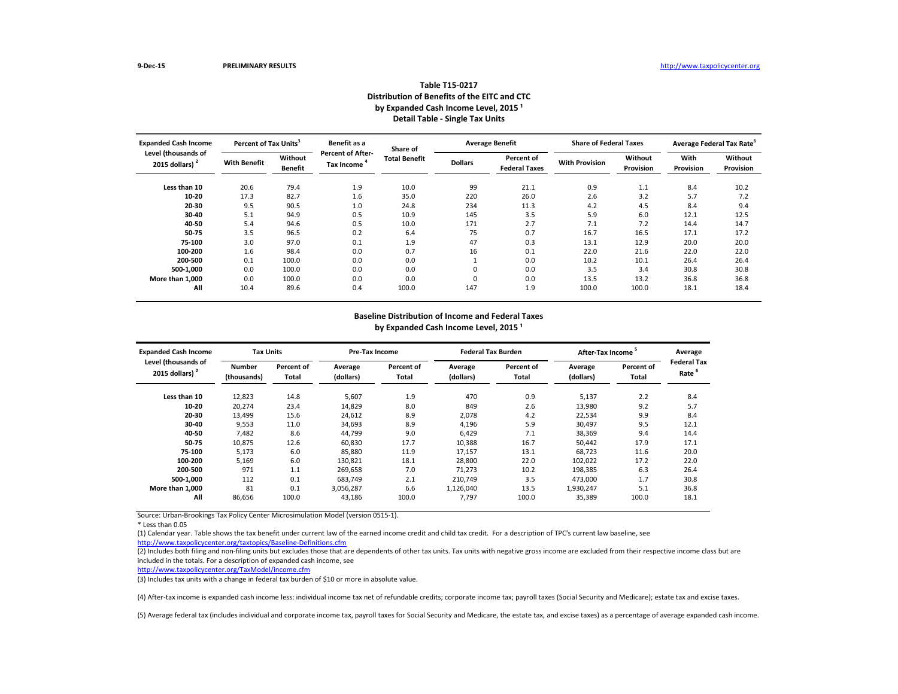| <b>Expanded Cash Income</b>              | Percent of Tax Units <sup>3</sup> |                           | Benefit as a                           | Share of             | <b>Average Benefit</b> |                                    | <b>Share of Federal Taxes</b> |                      | Average Federal Tax Rate <sup>6</sup> |                      |
|------------------------------------------|-----------------------------------|---------------------------|----------------------------------------|----------------------|------------------------|------------------------------------|-------------------------------|----------------------|---------------------------------------|----------------------|
| Level (thousands of<br>2015 dollars) $2$ | <b>With Benefit</b>               | Without<br><b>Benefit</b> | <b>Percent of After-</b><br>Tax Income | <b>Total Benefit</b> | <b>Dollars</b>         | Percent of<br><b>Federal Taxes</b> | <b>With Provision</b>         | Without<br>Provision | With<br>Provision                     | Without<br>Provision |
| Less than 10                             | 20.6                              | 79.4                      | 1.9                                    | 10.0                 | 99                     | 21.1                               | 0.9                           | 1.1                  | 8.4                                   | 10.2                 |
| 10-20                                    | 17.3                              | 82.7                      | 1.6                                    | 35.0                 | 220                    | 26.0                               | 2.6                           | 3.2                  | 5.7                                   | 7.2                  |
| 20-30                                    | 9.5                               | 90.5                      | 1.0                                    | 24.8                 | 234                    | 11.3                               | 4.2                           | 4.5                  | 8.4                                   | 9.4                  |
| 30-40                                    | 5.1                               | 94.9                      | 0.5                                    | 10.9                 | 145                    | 3.5                                | 5.9                           | 6.0                  | 12.1                                  | 12.5                 |
| 40-50                                    | 5.4                               | 94.6                      | 0.5                                    | 10.0                 | 171                    | 2.7                                | 7.1                           | 7.2                  | 14.4                                  | 14.7                 |
| 50-75                                    | 3.5                               | 96.5                      | 0.2                                    | 6.4                  | 75                     | 0.7                                | 16.7                          | 16.5                 | 17.1                                  | 17.2                 |
| 75-100                                   | 3.0                               | 97.0                      | 0.1                                    | 1.9                  | 47                     | 0.3                                | 13.1                          | 12.9                 | 20.0                                  | 20.0                 |
| 100-200                                  | 1.6                               | 98.4                      | 0.0                                    | 0.7                  | 16                     | 0.1                                | 22.0                          | 21.6                 | 22.0                                  | 22.0                 |
| 200-500                                  | 0.1                               | 100.0                     | 0.0                                    | 0.0                  |                        | 0.0                                | 10.2                          | 10.1                 | 26.4                                  | 26.4                 |
| 500-1,000                                | 0.0                               | 100.0                     | 0.0                                    | 0.0                  | 0                      | 0.0                                | 3.5                           | 3.4                  | 30.8                                  | 30.8                 |
| More than 1,000                          | 0.0                               | 100.0                     | 0.0                                    | 0.0                  | 0                      | 0.0                                | 13.5                          | 13.2                 | 36.8                                  | 36.8                 |
| All                                      | 10.4                              | 89.6                      | 0.4                                    | 100.0                | 147                    | 1.9                                | 100.0                         | 100.0                | 18.1                                  | 18.4                 |

(2) Includes both filing and non-filing units but excludes those that are dependents of other tax units. Tax units with negative gross income are excluded from their respective income class but are included in the totals. For a description of expanded cash income, see

\* Less than 0.05

| <b>Expanded Cash Income</b>              | <b>Tax Units</b>             |                     | <b>Pre-Tax Income</b> |                     |                      | <b>Federal Tax Burden</b> | After-Tax Income     |                     | Average                                 |
|------------------------------------------|------------------------------|---------------------|-----------------------|---------------------|----------------------|---------------------------|----------------------|---------------------|-----------------------------------------|
| Level (thousands of<br>2015 dollars) $2$ | <b>Number</b><br>(thousands) | Percent of<br>Total | Average<br>(dollars)  | Percent of<br>Total | Average<br>(dollars) | Percent of<br>Total       | Average<br>(dollars) | Percent of<br>Total | <b>Federal Tax</b><br>Rate <sup>6</sup> |
| Less than 10                             | 12,823                       | 14.8                | 5,607                 | 1.9                 | 470                  | 0.9                       | 5,137                | 2.2                 | 8.4                                     |
| $10 - 20$                                | 20,274                       | 23.4                | 14,829                | 8.0                 | 849                  | 2.6                       | 13,980               | 9.2                 | 5.7                                     |
| $20 - 30$                                | 13,499                       | 15.6                | 24,612                | 8.9                 | 2,078                | 4.2                       | 22,534               | 9.9                 | 8.4                                     |
| 30-40                                    | 9,553                        | 11.0                | 34,693                | 8.9                 | 4,196                | 5.9                       | 30,497               | 9.5                 | 12.1                                    |
| 40-50                                    | 7,482                        | 8.6                 | 44,799                | 9.0                 | 6,429                | 7.1                       | 38,369               | 9.4                 | 14.4                                    |
| 50-75                                    | 10,875                       | 12.6                | 60,830                | 17.7                | 10,388               | 16.7                      | 50,442               | 17.9                | 17.1                                    |
| 75-100                                   | 5,173                        | 6.0                 | 85,880                | 11.9                | 17,157               | 13.1                      | 68,723               | 11.6                | 20.0                                    |
| 100-200                                  | 5,169                        | 6.0                 | 130,821               | 18.1                | 28,800               | 22.0                      | 102,022              | 17.2                | 22.0                                    |
| 200-500                                  | 971                          | 1.1                 | 269,658               | 7.0                 | 71,273               | 10.2                      | 198,385              | 6.3                 | 26.4                                    |
| 500-1,000                                | 112                          | 0.1                 | 683,749               | 2.1                 | 210,749              | 3.5                       | 473,000              | 1.7                 | 30.8                                    |
| More than 1.000                          | 81                           | 0.1                 | 3,056,287             | 6.6                 | 1,126,040            | 13.5                      | 1,930,247            | 5.1                 | 36.8                                    |
| All                                      | 86,656                       | 100.0               | 43,186                | 100.0               | 7,797                | 100.0                     | 35,389               | 100.0               | 18.1                                    |

#### **Table T15-0217 Distribution of Benefits of the EITC and CTC** by Expanded Cash Income Level, 2015<sup>1</sup> **Detail Table - Single Tax Units**

<http://www.taxpolicycenter.org/taxtopics/Baseline-Definitions.cfm> (1) Calendar year. Table shows the tax benefit under current law of the earned income credit and child tax credit. For a description of TPC's current law baseline, see

# **Baseline Distribution of Income and Federal Taxes**

by Expanded Cash Income Level, 2015<sup>1</sup>

<http://www.taxpolicycenter.org/TaxModel/income.cfm>

(3) Includes tax units with a change in federal tax burden of \$10 or more in absolute value.

(4) After-tax income is expanded cash income less: individual income tax net of refundable credits; corporate income tax; payroll taxes (Social Security and Medicare); estate tax and excise taxes.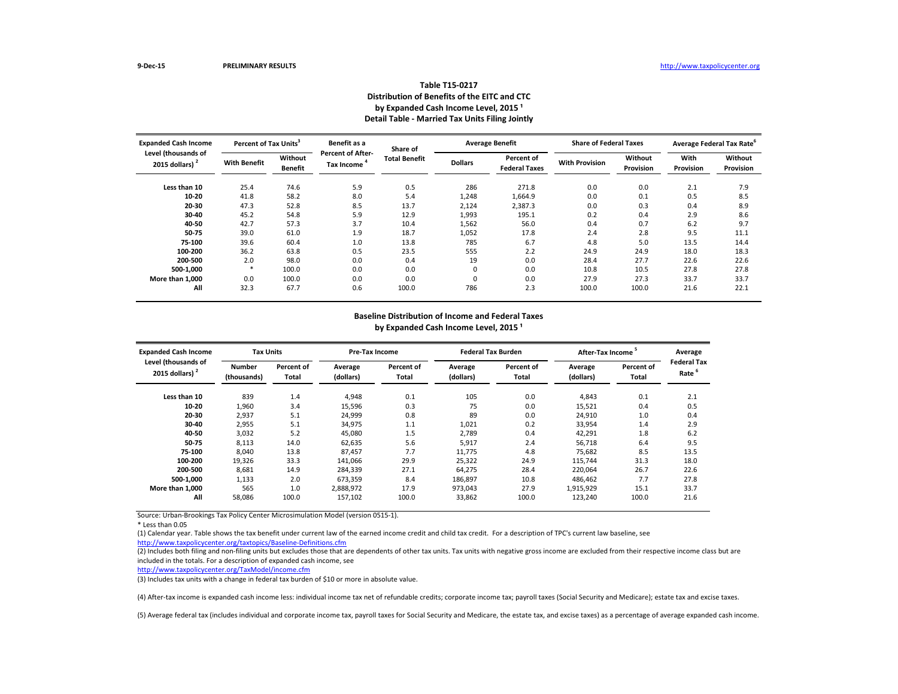| <b>Expanded Cash Income</b>              | Percent of Tax Units <sup>3</sup> |                           | Benefit as a                           | Share of             | <b>Average Benefit</b> |                                    | <b>Share of Federal Taxes</b> |                      | Average Federal Tax Rate <sup>6</sup> |                             |
|------------------------------------------|-----------------------------------|---------------------------|----------------------------------------|----------------------|------------------------|------------------------------------|-------------------------------|----------------------|---------------------------------------|-----------------------------|
| Level (thousands of<br>2015 dollars) $2$ | <b>With Benefit</b>               | Without<br><b>Benefit</b> | <b>Percent of After-</b><br>Tax Income | <b>Total Benefit</b> | <b>Dollars</b>         | Percent of<br><b>Federal Taxes</b> | <b>With Provision</b>         | Without<br>Provision | With<br>Provision                     | Without<br><b>Provision</b> |
| Less than 10                             | 25.4                              | 74.6                      | 5.9                                    | 0.5                  | 286                    | 271.8                              | 0.0                           | 0.0                  | 2.1                                   | 7.9                         |
| 10-20                                    | 41.8                              | 58.2                      | 8.0                                    | 5.4                  | 1,248                  | 1,664.9                            | 0.0                           | 0.1                  | 0.5                                   | 8.5                         |
| 20-30                                    | 47.3                              | 52.8                      | 8.5                                    | 13.7                 | 2,124                  | 2,387.3                            | 0.0                           | 0.3                  | 0.4                                   | 8.9                         |
| 30-40                                    | 45.2                              | 54.8                      | 5.9                                    | 12.9                 | 1,993                  | 195.1                              | 0.2                           | 0.4                  | 2.9                                   | 8.6                         |
| 40-50                                    | 42.7                              | 57.3                      | 3.7                                    | 10.4                 | 1,562                  | 56.0                               | 0.4                           | 0.7                  | 6.2                                   | 9.7                         |
| 50-75                                    | 39.0                              | 61.0                      | 1.9                                    | 18.7                 | 1,052                  | 17.8                               | 2.4                           | 2.8                  | 9.5                                   | 11.1                        |
| 75-100                                   | 39.6                              | 60.4                      | 1.0                                    | 13.8                 | 785                    | 6.7                                | 4.8                           | 5.0                  | 13.5                                  | 14.4                        |
| 100-200                                  | 36.2                              | 63.8                      | 0.5                                    | 23.5                 | 555                    | 2.2                                | 24.9                          | 24.9                 | 18.0                                  | 18.3                        |
| 200-500                                  | 2.0                               | 98.0                      | 0.0                                    | 0.4                  | 19                     | 0.0                                | 28.4                          | 27.7                 | 22.6                                  | 22.6                        |
| 500-1,000                                |                                   | 100.0                     | 0.0                                    | 0.0                  | 0                      | 0.0                                | 10.8                          | 10.5                 | 27.8                                  | 27.8                        |
| More than 1.000                          | 0.0                               | 100.0                     | 0.0                                    | 0.0                  | 0                      | 0.0                                | 27.9                          | 27.3                 | 33.7                                  | 33.7                        |
| All                                      | 32.3                              | 67.7                      | 0.6                                    | 100.0                | 786                    | 2.3                                | 100.0                         | 100.0                | 21.6                                  | 22.1                        |

(2) Includes both filing and non-filing units but excludes those that are dependents of other tax units. Tax units with negative gross income are excluded from their respective income class but are included in the totals. For a description of expanded cash income, see

\* Less than 0.05

| <b>Expanded Cash Income</b>              | <b>Tax Units</b>             |                            | <b>Pre-Tax Income</b> |                     |                      | <b>Federal Tax Burden</b>  | After-Tax Income <sup>3</sup> |                     | Average<br><b>Federal Tax</b> |
|------------------------------------------|------------------------------|----------------------------|-----------------------|---------------------|----------------------|----------------------------|-------------------------------|---------------------|-------------------------------|
| Level (thousands of<br>2015 dollars) $2$ | <b>Number</b><br>(thousands) | Percent of<br><b>Total</b> | Average<br>(dollars)  | Percent of<br>Total | Average<br>(dollars) | Percent of<br><b>Total</b> | Average<br>(dollars)          | Percent of<br>Total | Rate <sup>'</sup>             |
| Less than 10                             | 839                          | 1.4                        | 4,948                 | 0.1                 | 105                  | 0.0                        | 4,843                         | 0.1                 | 2.1                           |
| $10 - 20$                                | 1,960                        | 3.4                        | 15,596                | 0.3                 | 75                   | 0.0                        | 15,521                        | 0.4                 | 0.5                           |
| $20 - 30$                                | 2,937                        | 5.1                        | 24,999                | 0.8                 | 89                   | 0.0                        | 24,910                        | 1.0                 | 0.4                           |
| 30-40                                    | 2,955                        | 5.1                        | 34,975                | 1.1                 | 1,021                | 0.2                        | 33,954                        | 1.4                 | 2.9                           |
| 40-50                                    | 3,032                        | 5.2                        | 45,080                | 1.5                 | 2,789                | 0.4                        | 42,291                        | 1.8                 | 6.2                           |
| 50-75                                    | 8,113                        | 14.0                       | 62,635                | 5.6                 | 5,917                | 2.4                        | 56,718                        | 6.4                 | 9.5                           |
| 75-100                                   | 8,040                        | 13.8                       | 87,457                | 7.7                 | 11,775               | 4.8                        | 75,682                        | 8.5                 | 13.5                          |
| 100-200                                  | 19,326                       | 33.3                       | 141,066               | 29.9                | 25,322               | 24.9                       | 115,744                       | 31.3                | 18.0                          |
| 200-500                                  | 8,681                        | 14.9                       | 284,339               | 27.1                | 64,275               | 28.4                       | 220,064                       | 26.7                | 22.6                          |
| 500-1,000                                | 1,133                        | 2.0                        | 673,359               | 8.4                 | 186,897              | 10.8                       | 486,462                       | 7.7                 | 27.8                          |
| More than 1,000                          | 565                          | 1.0                        | 2,888,972             | 17.9                | 973,043              | 27.9                       | 1,915,929                     | 15.1                | 33.7                          |
| All                                      | 58,086                       | 100.0                      | 157,102               | 100.0               | 33,862               | 100.0                      | 123,240                       | 100.0               | 21.6                          |
|                                          |                              |                            |                       |                     |                      |                            |                               |                     |                               |

#### **Table T15-0217 Distribution of Benefits of the EITC and CTC** by Expanded Cash Income Level, 2015<sup>1</sup> **Detail Table - Married Tax Units Filing Jointly**

<http://www.taxpolicycenter.org/taxtopics/Baseline-Definitions.cfm> (1) Calendar year. Table shows the tax benefit under current law of the earned income credit and child tax credit. For a description of TPC's current law baseline, see

# **Baseline Distribution of Income and Federal Taxes**

by Expanded Cash Income Level, 2015<sup>1</sup>

<http://www.taxpolicycenter.org/TaxModel/income.cfm>

(3) Includes tax units with a change in federal tax burden of \$10 or more in absolute value.

(4) After-tax income is expanded cash income less: individual income tax net of refundable credits; corporate income tax; payroll taxes (Social Security and Medicare); estate tax and excise taxes.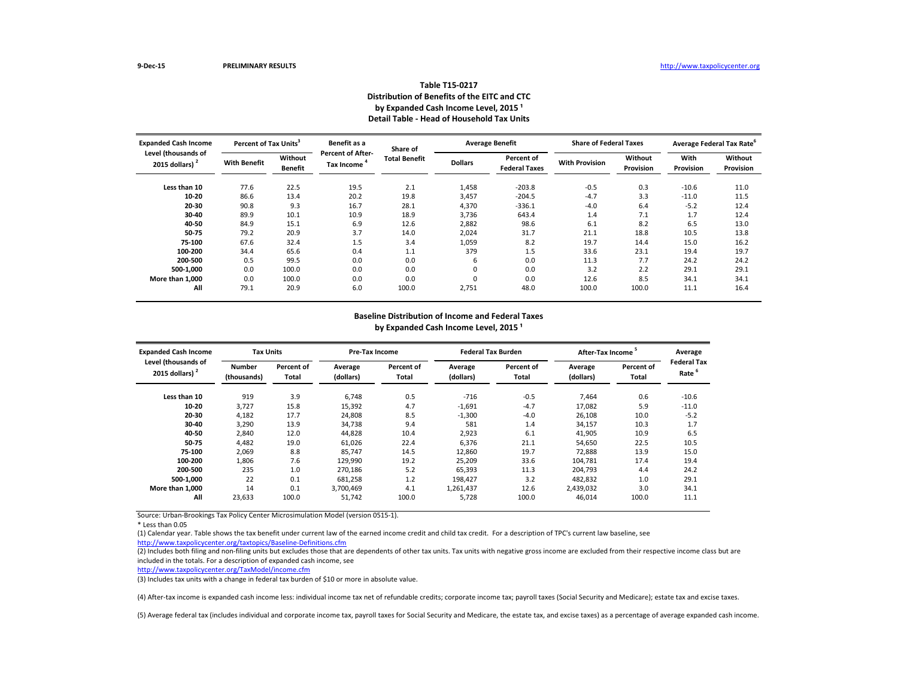| <b>Expanded Cash Income</b>              | Percent of Tax Units <sup>3</sup> |                           | Benefit as a                                  | Share of             | <b>Average Benefit</b> |                                    | <b>Share of Federal Taxes</b> |                      | Average Federal Tax Rate <sup>6</sup> |                             |
|------------------------------------------|-----------------------------------|---------------------------|-----------------------------------------------|----------------------|------------------------|------------------------------------|-------------------------------|----------------------|---------------------------------------|-----------------------------|
| Level (thousands of<br>2015 dollars) $2$ | <b>With Benefit</b>               | Without<br><b>Benefit</b> | <b>Percent of After-</b><br><b>Tax Income</b> | <b>Total Benefit</b> | <b>Dollars</b>         | Percent of<br><b>Federal Taxes</b> | <b>With Provision</b>         | Without<br>Provision | With<br>Provision                     | Without<br><b>Provision</b> |
| Less than 10                             | 77.6                              | 22.5                      | 19.5                                          | 2.1                  | 1,458                  | $-203.8$                           | $-0.5$                        | 0.3                  | $-10.6$                               | 11.0                        |
| 10-20                                    | 86.6                              | 13.4                      | 20.2                                          | 19.8                 | 3,457                  | $-204.5$                           | $-4.7$                        | 3.3                  | $-11.0$                               | 11.5                        |
| 20-30                                    | 90.8                              | 9.3                       | 16.7                                          | 28.1                 | 4,370                  | $-336.1$                           | $-4.0$                        | 6.4                  | $-5.2$                                | 12.4                        |
| 30-40                                    | 89.9                              | 10.1                      | 10.9                                          | 18.9                 | 3,736                  | 643.4                              | 1.4                           | 7.1                  | 1.7                                   | 12.4                        |
| 40-50                                    | 84.9                              | 15.1                      | 6.9                                           | 12.6                 | 2,882                  | 98.6                               | 6.1                           | 8.2                  | 6.5                                   | 13.0                        |
| 50-75                                    | 79.2                              | 20.9                      | 3.7                                           | 14.0                 | 2,024                  | 31.7                               | 21.1                          | 18.8                 | 10.5                                  | 13.8                        |
| 75-100                                   | 67.6                              | 32.4                      | 1.5                                           | 3.4                  | 1,059                  | 8.2                                | 19.7                          | 14.4                 | 15.0                                  | 16.2                        |
| 100-200                                  | 34.4                              | 65.6                      | 0.4                                           | 1.1                  | 379                    | 1.5                                | 33.6                          | 23.1                 | 19.4                                  | 19.7                        |
| 200-500                                  | 0.5                               | 99.5                      | 0.0                                           | 0.0                  | 6                      | 0.0                                | 11.3                          | 7.7                  | 24.2                                  | 24.2                        |
| 500-1,000                                | 0.0                               | 100.0                     | 0.0                                           | 0.0                  | 0                      | 0.0                                | 3.2                           | 2.2                  | 29.1                                  | 29.1                        |
| More than 1.000                          | 0.0                               | 100.0                     | 0.0                                           | 0.0                  | 0                      | 0.0                                | 12.6                          | 8.5                  | 34.1                                  | 34.1                        |
| All                                      | 79.1                              | 20.9                      | 6.0                                           | 100.0                | 2,751                  | 48.0                               | 100.0                         | 100.0                | 11.1                                  | 16.4                        |

(2) Includes both filing and non-filing units but excludes those that are dependents of other tax units. Tax units with negative gross income are excluded from their respective income class but are included in the totals. For a description of expanded cash income, see

Source: Urban-Brookings Tax Policy Center Microsimulation Model (version 0515-1).

\* Less than 0.05

| <b>Expanded Cash Income</b>              | <b>Tax Units</b>             |                     | <b>Pre-Tax Income</b> |                     |                      | <b>Federal Tax Burden</b> | <b>After-Tax Income</b> |                            | Average                    |
|------------------------------------------|------------------------------|---------------------|-----------------------|---------------------|----------------------|---------------------------|-------------------------|----------------------------|----------------------------|
| Level (thousands of<br>2015 dollars) $2$ | <b>Number</b><br>(thousands) | Percent of<br>Total | Average<br>(dollars)  | Percent of<br>Total | Average<br>(dollars) | Percent of<br>Total       | Average<br>(dollars)    | <b>Percent of</b><br>Total | <b>Federal Tax</b><br>Rate |
| Less than 10                             | 919                          | 3.9                 | 6,748                 | 0.5                 | $-716$               | $-0.5$                    | 7,464                   | 0.6                        | $-10.6$                    |
| $10 - 20$                                | 3,727                        | 15.8                | 15,392                | 4.7                 | $-1,691$             | $-4.7$                    | 17,082                  | 5.9                        | $-11.0$                    |
| $20 - 30$                                | 4,182                        | 17.7                | 24,808                | 8.5                 | $-1,300$             | $-4.0$                    | 26,108                  | 10.0                       | $-5.2$                     |
| 30-40                                    | 3,290                        | 13.9                | 34,738                | 9.4                 | 581                  | 1.4                       | 34,157                  | 10.3                       | 1.7                        |
| 40-50                                    | 2,840                        | 12.0                | 44,828                | 10.4                | 2,923                | 6.1                       | 41,905                  | 10.9                       | 6.5                        |
| 50-75                                    | 4,482                        | 19.0                | 61,026                | 22.4                | 6,376                | 21.1                      | 54,650                  | 22.5                       | 10.5                       |
| 75-100                                   | 2,069                        | 8.8                 | 85.747                | 14.5                | 12,860               | 19.7                      | 72,888                  | 13.9                       | 15.0                       |
| 100-200                                  | 1,806                        | 7.6                 | 129,990               | 19.2                | 25,209               | 33.6                      | 104,781                 | 17.4                       | 19.4                       |
| 200-500                                  | 235                          | 1.0                 | 270,186               | 5.2                 | 65,393               | 11.3                      | 204,793                 | 4.4                        | 24.2                       |
| 500-1,000                                | 22                           | 0.1                 | 681,258               | 1.2                 | 198,427              | 3.2                       | 482,832                 | 1.0                        | 29.1                       |
| More than 1,000                          | 14                           | 0.1                 | 3,700,469             | 4.1                 | 1,261,437            | 12.6                      | 2,439,032               | 3.0                        | 34.1                       |
| All                                      | 23,633                       | 100.0               | 51,742                | 100.0               | 5,728                | 100.0                     | 46,014                  | 100.0                      | 11.1                       |

#### **Table T15-0217 Distribution of Benefits of the EITC and CTC** by Expanded Cash Income Level, 2015<sup>1</sup> **Detail Table - Head of Household Tax Units**

<http://www.taxpolicycenter.org/taxtopics/Baseline-Definitions.cfm> (1) Calendar year. Table shows the tax benefit under current law of the earned income credit and child tax credit. For a description of TPC's current law baseline, see

# **Baseline Distribution of Income and Federal Taxes**

by Expanded Cash Income Level, 2015<sup>1</sup>

<http://www.taxpolicycenter.org/TaxModel/income.cfm>

(3) Includes tax units with a change in federal tax burden of \$10 or more in absolute value.

(4) After-tax income is expanded cash income less: individual income tax net of refundable credits; corporate income tax; payroll taxes (Social Security and Medicare); estate tax and excise taxes.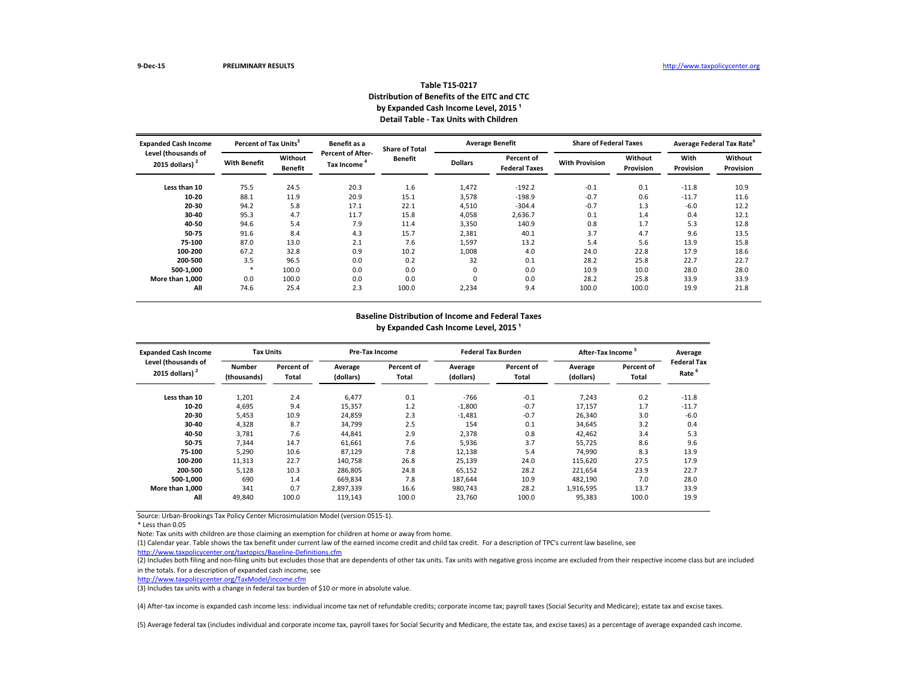#### **Baseline Distribution of Income and Federal Taxes** by Expanded Cash Income Level, 2015<sup>1</sup>

| <b>Expanded Cash Income</b>                       | Percent of Tax Units <sup>3</sup> |                           | Benefit as a                           | <b>Share of Total</b> |                | <b>Average Benefit</b>             | <b>Share of Federal Taxes</b> |                      | Average Federal Tax Rate <sup>6</sup> |                      |
|---------------------------------------------------|-----------------------------------|---------------------------|----------------------------------------|-----------------------|----------------|------------------------------------|-------------------------------|----------------------|---------------------------------------|----------------------|
| Level (thousands of<br>2015 dollars) <sup>2</sup> | <b>With Benefit</b>               | Without<br><b>Benefit</b> | <b>Percent of After-</b><br>Tax Income | <b>Benefit</b>        | <b>Dollars</b> | Percent of<br><b>Federal Taxes</b> | <b>With Provision</b>         | Without<br>Provision | With<br><b>Provision</b>              | Without<br>Provision |
| Less than 10                                      | 75.5                              | 24.5                      | 20.3                                   | 1.6                   | 1,472          | $-192.2$                           | $-0.1$                        | 0.1                  | $-11.8$                               | 10.9                 |
| $10 - 20$                                         | 88.1                              | 11.9                      | 20.9                                   | 15.1                  | 3,578          | $-198.9$                           | $-0.7$                        | 0.6                  | $-11.7$                               | 11.6                 |
| $20 - 30$                                         | 94.2                              | 5.8                       | 17.1                                   | 22.1                  | 4,510          | $-304.4$                           | $-0.7$                        | 1.3                  | $-6.0$                                | 12.2                 |
| $30 - 40$                                         | 95.3                              | 4.7                       | 11.7                                   | 15.8                  | 4,058          | 2,636.7                            | 0.1                           | 1.4                  | 0.4                                   | 12.1                 |
| 40-50                                             | 94.6                              | 5.4                       | 7.9                                    | 11.4                  | 3,350          | 140.9                              | 0.8                           | 1.7                  | 5.3                                   | 12.8                 |
| 50-75                                             | 91.6                              | 8.4                       | 4.3                                    | 15.7                  | 2,381          | 40.1                               | 3.7                           | 4.7                  | 9.6                                   | 13.5                 |
| 75-100                                            | 87.0                              | 13.0                      | 2.1                                    | 7.6                   | 1,597          | 13.2                               | 5.4                           | 5.6                  | 13.9                                  | 15.8                 |
| 100-200                                           | 67.2                              | 32.8                      | 0.9                                    | 10.2                  | 1,008          | 4.0                                | 24.0                          | 22.8                 | 17.9                                  | 18.6                 |
| 200-500                                           | 3.5                               | 96.5                      | 0.0                                    | 0.2                   | 32             | 0.1                                | 28.2                          | 25.8                 | 22.7                                  | 22.7                 |
| 500-1,000                                         |                                   | 100.0                     | 0.0                                    | 0.0                   | 0              | 0.0                                | 10.9                          | 10.0                 | 28.0                                  | 28.0                 |
| More than 1,000                                   | 0.0                               | 100.0                     | 0.0                                    | 0.0                   | 0              | 0.0                                | 28.2                          | 25.8                 | 33.9                                  | 33.9                 |
| All                                               | 74.6                              | 25.4                      | 2.3                                    | 100.0                 | 2,234          | 9.4                                | 100.0                         | 100.0                | 19.9                                  | 21.8                 |

Source: Urban-Brookings Tax Policy Center Microsimulation Model (version 0515-1).

(2) Includes both filing and non-filing units but excludes those that are dependents of other tax units. Tax units with negative gross income are excluded from their respective income class but are included in the totals. For a description of expanded cash income, see

\* Less than 0.05

Note: Tax units with children are those claiming an exemption for children at home or away from home.

| <b>Expanded Cash Income</b>              | <b>Tax Units</b>             |                            | <b>Pre-Tax Income</b> |                            |                      | <b>Federal Tax Burden</b> | After-Tax Income <sup>3</sup> | Average                           |                                        |
|------------------------------------------|------------------------------|----------------------------|-----------------------|----------------------------|----------------------|---------------------------|-------------------------------|-----------------------------------|----------------------------------------|
| Level (thousands of<br>2015 dollars) $2$ | <b>Number</b><br>(thousands) | Percent of<br><b>Total</b> | Average<br>(dollars)  | Percent of<br><b>Total</b> | Average<br>(dollars) | Percent of<br>Total       | Average<br>(dollars)          | <b>Percent of</b><br><b>Total</b> | <b>Federal Ta</b><br>Rate <sup>6</sup> |
| Less than 10                             | 1,201                        | 2.4                        | 6,477                 | 0.1                        | -766                 | $-0.1$                    | 7,243                         | 0.2                               | $-11.8$                                |
| $10 - 20$                                | 4,695                        | 9.4                        | 15,357                | 1.2                        | $-1,800$             | $-0.7$                    | 17,157                        | 1.7                               | $-11.7$                                |
| 20-30                                    | 5,453                        | 10.9                       | 24,859                | 2.3                        | $-1,481$             | $-0.7$                    | 26,340                        | 3.0                               | $-6.0$                                 |
| 30-40                                    | 4,328                        | 8.7                        | 34,799                | 2.5                        | 154                  | 0.1                       | 34,645                        | 3.2                               | 0.4                                    |
| 40-50                                    | 3,781                        | 7.6                        | 44,841                | 2.9                        | 2,378                | 0.8                       | 42,462                        | 3.4                               | 5.3                                    |
| 50-75                                    | 7,344                        | 14.7                       | 61,661                | 7.6                        | 5,936                | 3.7                       | 55,725                        | 8.6                               | 9.6                                    |
| 75-100                                   | 5,290                        | 10.6                       | 87,129                | 7.8                        | 12,138               | 5.4                       | 74,990                        | 8.3                               | 13.9                                   |
| 100-200                                  | 11,313                       | 22.7                       | 140,758               | 26.8                       | 25,139               | 24.0                      | 115,620                       | 27.5                              | 17.9                                   |
| 200-500                                  | 5,128                        | 10.3                       | 286,805               | 24.8                       | 65,152               | 28.2                      | 221,654                       | 23.9                              | 22.7                                   |
| 500-1,000                                | 690                          | 1.4                        | 669,834               | 7.8                        | 187,644              | 10.9                      | 482,190                       | 7.0                               | 28.0                                   |
| More than 1,000                          | 341                          | 0.7                        | 2,897,339             | 16.6                       | 980,743              | 28.2                      | 1,916,595                     | 13.7                              | 33.9                                   |
| All                                      | 49,840                       | 100.0                      | 119,143               | 100.0                      | 23,760               | 100.0                     | 95,383                        | 100.0                             | 19.9                                   |

<http://www.taxpolicycenter.org/taxtopics/Baseline-Definitions.cfm>

### **Table T15-0217 Distribution of Benefits of the EITC and CTC** by Expanded Cash Income Level, 2015<sup>1</sup> **Detail Table - Tax Units with Children**

| Average<br>Federal Tax<br>Rate <sup>6</sup>                   |  |
|---------------------------------------------------------------|--|
| -11.8<br>-11.7<br>$-6.0$<br>0.4<br>5.3<br>9.6<br>13.9<br>17.9 |  |
| 22.7<br>28.0<br>33.9<br>19.9                                  |  |

(1) Calendar year. Table shows the tax benefit under current law of the earned income credit and child tax credit. For a description of TPC's current law baseline, see

<http://www.taxpolicycenter.org/TaxModel/income.cfm>

(3) Includes tax units with a change in federal tax burden of \$10 or more in absolute value.

(4) After-tax income is expanded cash income less: individual income tax net of refundable credits; corporate income tax; payroll taxes (Social Security and Medicare); estate tax and excise taxes.